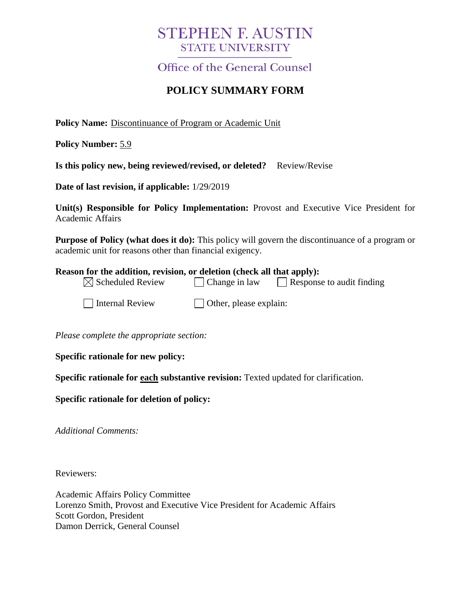# **STEPHEN F. AUSTIN STATE UNIVERSITY**

Office of the General Counsel

## **POLICY SUMMARY FORM**

**Policy Name:** Discontinuance of Program or Academic Unit

**Policy Number:** 5.9

**Is this policy new, being reviewed/revised, or deleted?** Review/Revise

**Date of last revision, if applicable:** 1/29/2019

**Unit(s) Responsible for Policy Implementation:** Provost and Executive Vice President for Academic Affairs

**Purpose of Policy (what does it do):** This policy will govern the discontinuance of a program or academic unit for reasons other than financial exigency.

#### **Reason for the addition, revision, or deletion (check all that apply):**

| $\boxtimes$ Scheduled Review | $\Box$ Change in law | $\Box$ Response to audit finding |  |
|------------------------------|----------------------|----------------------------------|--|
|                              |                      |                                  |  |

 $\Box$  Internal Review  $\Box$  Other, please explain:

*Please complete the appropriate section:*

**Specific rationale for new policy:**

**Specific rationale for each substantive revision:** Texted updated for clarification.

**Specific rationale for deletion of policy:**

*Additional Comments:*

Reviewers:

Academic Affairs Policy Committee Lorenzo Smith, Provost and Executive Vice President for Academic Affairs Scott Gordon, President Damon Derrick, General Counsel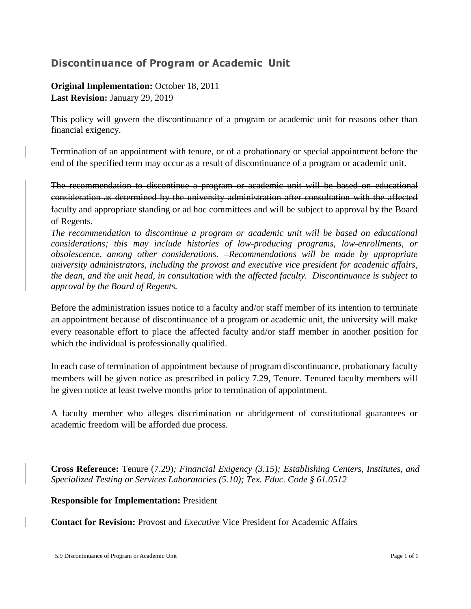### **Discontinuance of Program or Academic Unit**

### **Original Implementation:** October 18, 2011 **Last Revision:** January 29, 2019

This policy will govern the discontinuance of a program or academic unit for reasons other than financial exigency.

Termination of an appointment with tenure, or of a probationary or special appointment before the end of the specified term may occur as a result of discontinuance of a program or academic unit.

The recommendation to discontinue a program or academic unit will be based on educational consideration as determined by the university administration after consultation with the affected faculty and appropriate standing or ad hoc committees and will be subject to approval by the Board of Regents.

*The recommendation to discontinue a program or academic unit will be based on educational considerations; this may include histories of low-producing programs, low-enrollments, or obsolescence, among other considerations. Recommendations will be made by appropriate university administrators, including the provost and executive vice president for academic affairs, the dean, and the unit head, in consultation with the affected faculty. Discontinuance is subject to approval by the Board of Regents.* 

Before the administration issues notice to a faculty and/or staff member of its intention to terminate an appointment because of discontinuance of a program or academic unit, the university will make every reasonable effort to place the affected faculty and/or staff member in another position for which the individual is professionally qualified.

In each case of termination of appointment because of program discontinuance, probationary faculty members will be given notice as prescribed in policy 7.29, Tenure. Tenured faculty members will be given notice at least twelve months prior to termination of appointment.

A faculty member who alleges discrimination or abridgement of constitutional guarantees or academic freedom will be afforded due process.

**Cross Reference:** Tenure (7.29)*; Financial Exigency (3.15); Establishing Centers, Institutes, and Specialized Testing or Services Laboratories (5.10); Tex. Educ. Code § 61.0512*

**Responsible for Implementation:** President

**Contact for Revision:** Provost and *Executive* Vice President for Academic Affairs